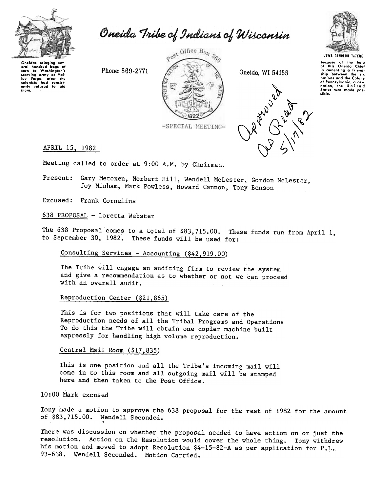

Oneida Tribe of Indians of Wisconsin



UGWA OEHOLUH IAIEHE

Iocawo of tho holp of thil On8ida Chiof in comonting a friend<br>ship ~between the six nations and the Colony of Pennsylvania, a new<br>nation, the United<br>States was made poslible.

**PP**  $\phi$   $\delta$ 

 $\mathcal{O}_{\mathcal{Y}}$ ,  $\mathcal{O}_{\mathcal{I}}^{/\mathcal{Y}}$ 

Oneidas bringing sev<br>eral hundred bags c eral hundred bags of<br>corn to Washington's corn to Washington's<br>starving army at Val-<br>IQy Forgo, after the<br>colonists had consist-<br>ently refused to aid them.



APRIL 15, 1982

Meeting called to order at 9:00 A.M. by Chairman.

Present: Gary Metoxen, Norbert Hill, Wendell McLester, Gordon McLester, Joy Ninham, Mark Powless, Howard Cannon, Tony Benson

Excused: Frank Cornelius

638 PROPOSAL - Loretta Webster

The 638 Proposal comes to a total of \$83,715.00. These funds run from April 1, to September 30, 1982. These funds will be used for:

Consulting Services -Accounting (\$42.919.00)

The Tribe will engage an auditing firm to review the system and give a recommendation as to whether or not we can proceed with an overall audit.

Reproduction Center  $(§21,865)$ 

This is for two positions that will take care of the Reproduction needs of all the Tribal Programs and Operations To do this the Tribe will obtain one copier machine built expressly for handling high volume reproduction.

Central Mail Room (\$17.835)

This is one position and all the Tribe's incoming mail will come in to this room and all outgoing mail will be stamped here and then taken to the Post Office.

10:00 Mark excused

Tony made a motion to approve the 638 proposal for the rest of 1982 for the amount of \$83,715.00. Wendell Seconded.

There was discussion on whether the proposal needed to have action on or just the resolution. Action on the Resolution would cover the whole thing. Tony withdrew his motion and moved to adopt Resolution \$4-15-82-A as per application for P.L. 93-638. Wendell Seconded. Motion Carried.